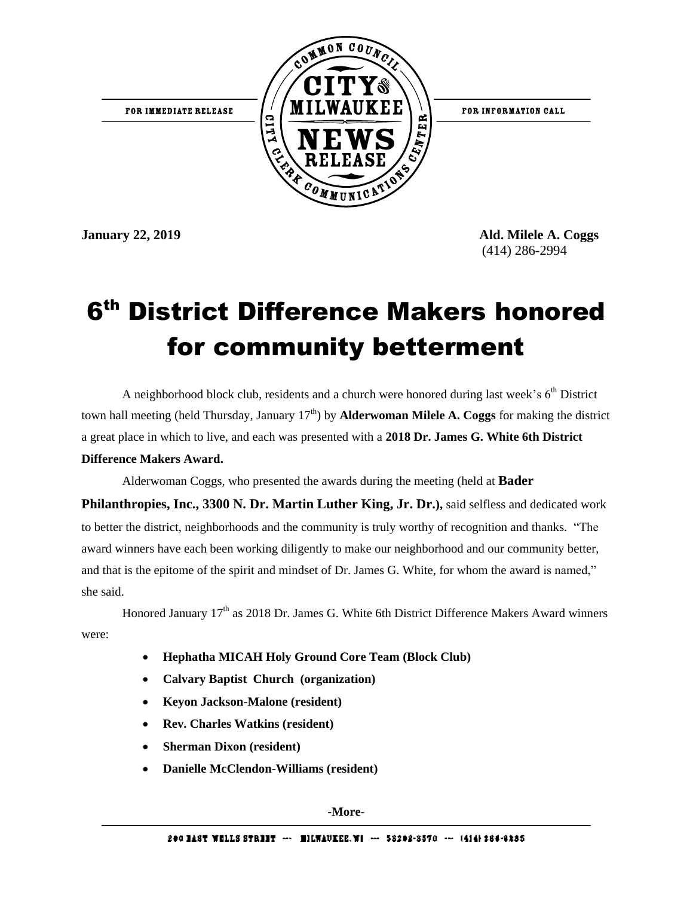

**January 22, 2019 Ald. Milele A. Coggs**  (414) 286-2994

## 6 th District Difference Makers honored for community betterment

A neighborhood block club, residents and a church were honored during last week's  $6<sup>th</sup>$  District town hall meeting (held Thursday, January  $17<sup>th</sup>$ ) by **Alderwoman Milele A. Coggs** for making the district a great place in which to live, and each was presented with a **2018 Dr. James G. White 6th District Difference Makers Award.** 

Alderwoman Coggs, who presented the awards during the meeting (held at **Bader** 

**Philanthropies, Inc., 3300 N. Dr. Martin Luther King, Jr. Dr.),** said selfless and dedicated work to better the district, neighborhoods and the community is truly worthy of recognition and thanks. "The award winners have each been working diligently to make our neighborhood and our community better, and that is the epitome of the spirit and mindset of Dr. James G. White, for whom the award is named," she said.

Honored January 17<sup>th</sup> as 2018 Dr. James G. White 6th District Difference Makers Award winners were:

- **Hephatha MICAH Holy Ground Core Team (Block Club)**
- **Calvary Baptist Church (organization)**
- **Keyon Jackson-Malone (resident)**
- **Rev. Charles Watkins (resident)**
- **Sherman Dixon (resident)**
- **Danielle McClendon-Williams (resident)**

**-More-**